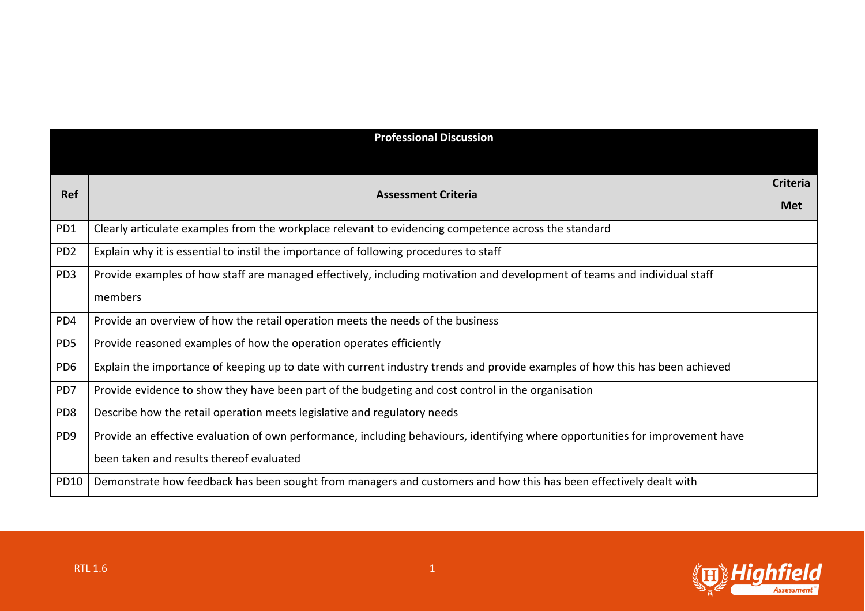| <b>Professional Discussion</b> |                                                                                                                                |                 |
|--------------------------------|--------------------------------------------------------------------------------------------------------------------------------|-----------------|
|                                |                                                                                                                                |                 |
| <b>Ref</b>                     | <b>Assessment Criteria</b>                                                                                                     | <b>Criteria</b> |
|                                |                                                                                                                                | Met             |
| PD1                            | Clearly articulate examples from the workplace relevant to evidencing competence across the standard                           |                 |
| PD <sub>2</sub>                | Explain why it is essential to instil the importance of following procedures to staff                                          |                 |
| PD <sub>3</sub>                | Provide examples of how staff are managed effectively, including motivation and development of teams and individual staff      |                 |
|                                | members                                                                                                                        |                 |
| PD4                            | Provide an overview of how the retail operation meets the needs of the business                                                |                 |
| PD <sub>5</sub>                | Provide reasoned examples of how the operation operates efficiently                                                            |                 |
| PD <sub>6</sub>                | Explain the importance of keeping up to date with current industry trends and provide examples of how this has been achieved   |                 |
| PD7                            | Provide evidence to show they have been part of the budgeting and cost control in the organisation                             |                 |
| PD <sub>8</sub>                | Describe how the retail operation meets legislative and regulatory needs                                                       |                 |
| PD <sub>9</sub>                | Provide an effective evaluation of own performance, including behaviours, identifying where opportunities for improvement have |                 |
|                                | been taken and results thereof evaluated                                                                                       |                 |
| PD10                           | Demonstrate how feedback has been sought from managers and customers and how this has been effectively dealt with              |                 |